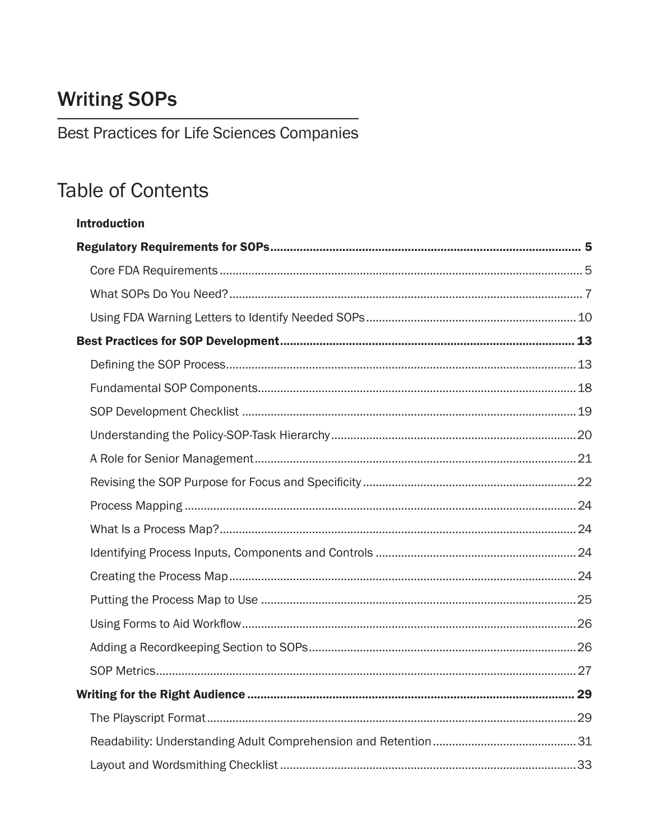## **Writing SOPs**

Best Practices for Life Sciences Companies

## **Table of Contents**

| <b>Introduction</b> |  |
|---------------------|--|
|                     |  |
|                     |  |
|                     |  |
|                     |  |
|                     |  |
|                     |  |
|                     |  |
|                     |  |
|                     |  |
|                     |  |
|                     |  |
|                     |  |
|                     |  |
|                     |  |
|                     |  |
|                     |  |
|                     |  |
|                     |  |
|                     |  |
|                     |  |
|                     |  |
|                     |  |
|                     |  |